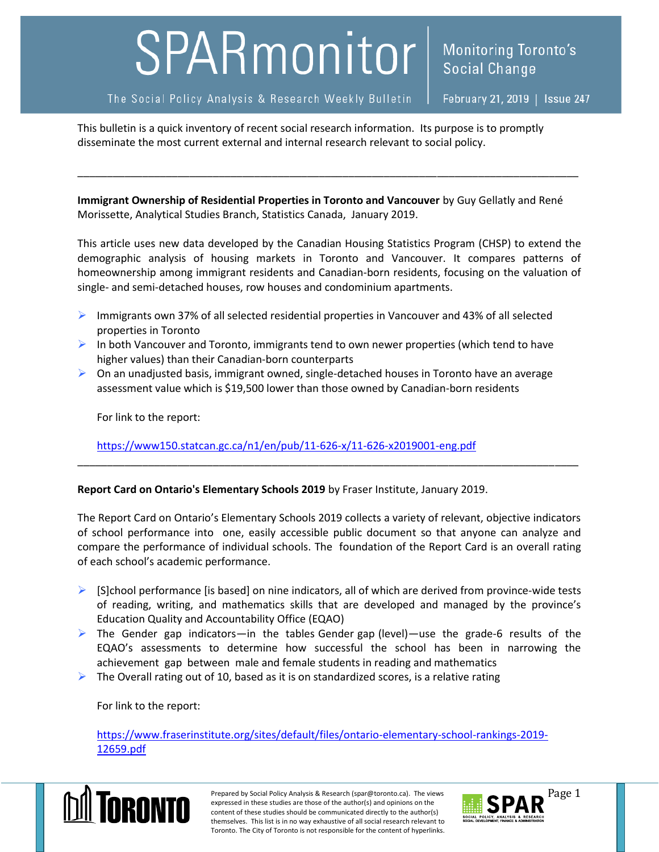## SPARmonitor

The Social Policy Analysis & Research Weekly Bulletin

February 21, 2019 | Issue 247

**Monitoring Toronto's** 

**Social Change** 

This bulletin is a quick inventory of recent social research information. Its purpose is to promptly disseminate the most current external and internal research relevant to social policy.

**Immigrant Ownership of Residential Properties in Toronto and Vancouver** by Guy Gellatly and René Morissette, Analytical Studies Branch, Statistics Canada, January 2019.

\_\_\_\_\_\_\_\_\_\_\_\_\_\_\_\_\_\_\_\_\_\_\_\_\_\_\_\_\_\_\_\_\_\_\_\_\_\_\_\_\_\_\_\_\_\_\_\_\_\_\_\_\_\_\_\_\_\_\_\_\_\_\_\_\_\_\_\_\_\_\_\_\_\_\_\_\_\_\_\_\_\_\_\_\_

This article uses new data developed by the Canadian Housing Statistics Program (CHSP) to extend the demographic analysis of housing markets in Toronto and Vancouver. It compares patterns of homeownership among immigrant residents and Canadian-born residents, focusing on the valuation of single- and semi-detached houses, row houses and condominium apartments.

- **Immigrants own 37% of all selected residential properties in Vancouver and 43% of all selected** properties in Toronto
- In both Vancouver and Toronto, immigrants tend to own newer properties (which tend to have higher values) than their Canadian-born counterparts
- $\triangleright$  On an unadjusted basis, immigrant owned, single-detached houses in Toronto have an average assessment value which is \$19,500 lower than those owned by Canadian-born residents

For link to the report:

[https://www150.statcan.gc.ca/n1/en/pub/11-626-x/11-626-x2019001-eng.pdf](https://www150.statcan.gc.ca/n1/en/pub/11-626-x/11-626-x2019001-eng.pdf?st=32oXOTsK)

## **Report Card on Ontario's Elementary Schools 2019** by Fraser Institute, January 2019.

The Report Card on Ontario's Elementary Schools 2019 collects a variety of relevant, objective indicators of school performance into one, easily accessible public document so that anyone can analyze and compare the performance of individual schools. The foundation of the Report Card is an overall rating of each school's academic performance.

\_\_\_\_\_\_\_\_\_\_\_\_\_\_\_\_\_\_\_\_\_\_\_\_\_\_\_\_\_\_\_\_\_\_\_\_\_\_\_\_\_\_\_\_\_\_\_\_\_\_\_\_\_\_\_\_\_\_\_\_\_\_\_\_\_\_\_\_\_\_\_\_\_\_\_\_\_\_\_\_\_\_\_\_\_

- $\triangleright$  [S]chool performance [is based] on nine indicators, all of which are derived from province-wide tests of reading, writing, and mathematics skills that are developed and managed by the province's Education Quality and Accountability Office (EQAO)
- $\triangleright$  The Gender gap indicators—in the tables Gender gap (level)—use the grade-6 results of the EQAO's assessments to determine how successful the school has been in narrowing the achievement gap between male and female students in reading and mathematics
- $\triangleright$  The Overall rating out of 10, based as it is on standardized scores, is a relative rating

For link to the report:

[https://www.fraserinstitute.org/sites/default/files/ontario-elementary-school-rankings-2019-](https://www.fraserinstitute.org/sites/default/files/ontario-elementary-school-rankings-2019-12659.pdf) [12659.pdf](https://www.fraserinstitute.org/sites/default/files/ontario-elementary-school-rankings-2019-12659.pdf)



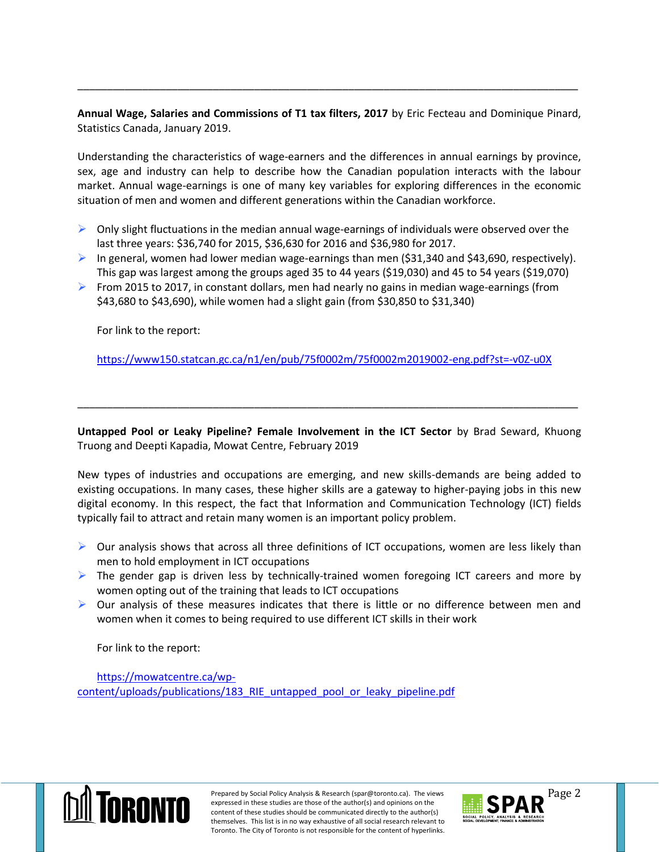**Annual Wage, Salaries and Commissions of T1 tax filters, 2017** by Eric Fecteau and Dominique Pinard, Statistics Canada, January 2019.

\_\_\_\_\_\_\_\_\_\_\_\_\_\_\_\_\_\_\_\_\_\_\_\_\_\_\_\_\_\_\_\_\_\_\_\_\_\_\_\_\_\_\_\_\_\_\_\_\_\_\_\_\_\_\_\_\_\_\_\_\_\_\_\_\_\_\_\_\_\_\_\_\_\_\_\_\_\_\_\_\_\_\_\_\_

Understanding the characteristics of wage-earners and the differences in annual earnings by province, sex, age and industry can help to describe how the Canadian population interacts with the labour market. Annual wage-earnings is one of many key variables for exploring differences in the economic situation of men and women and different generations within the Canadian workforce.

- $\triangleright$  Only slight fluctuations in the median annual wage-earnings of individuals were observed over the last three years: \$36,740 for 2015, \$36,630 for 2016 and \$36,980 for 2017.
- In general, women had lower median wage-earnings than men  $(531,340$  and  $543,690$ , respectively). This gap was largest among the groups aged 35 to 44 years (\$19,030) and 45 to 54 years (\$19,070)
- From 2015 to 2017, in constant dollars, men had nearly no gains in median wage-earnings (from \$43,680 to \$43,690), while women had a slight gain (from \$30,850 to \$31,340)

For link to the report:

<https://www150.statcan.gc.ca/n1/en/pub/75f0002m/75f0002m2019002-eng.pdf?st=-v0Z-u0X>

**Untapped Pool or Leaky Pipeline? Female Involvement in the ICT Sector** by Brad Seward, Khuong Truong and Deepti Kapadia, Mowat Centre, February 2019

\_\_\_\_\_\_\_\_\_\_\_\_\_\_\_\_\_\_\_\_\_\_\_\_\_\_\_\_\_\_\_\_\_\_\_\_\_\_\_\_\_\_\_\_\_\_\_\_\_\_\_\_\_\_\_\_\_\_\_\_\_\_\_\_\_\_\_\_\_\_\_\_\_\_\_\_\_\_\_\_\_\_\_\_\_

New types of industries and occupations are emerging, and new skills-demands are being added to existing occupations. In many cases, these higher skills are a gateway to higher-paying jobs in this new digital economy. In this respect, the fact that Information and Communication Technology (ICT) fields typically fail to attract and retain many women is an important policy problem.

- $\triangleright$  Our analysis shows that across all three definitions of ICT occupations, women are less likely than men to hold employment in ICT occupations
- $\triangleright$  The gender gap is driven less by technically-trained women foregoing ICT careers and more by women opting out of the training that leads to ICT occupations
- $\triangleright$  Our analysis of these measures indicates that there is little or no difference between men and women when it comes to being required to use different ICT skills in their work

For link to the report:

[https://mowatcentre.ca/wp](https://mowatcentre.ca/wp-content/uploads/publications/183_RIE_untapped_pool_or_leaky_pipeline.pdf)[content/uploads/publications/183\\_RIE\\_untapped\\_pool\\_or\\_leaky\\_pipeline.pdf](https://mowatcentre.ca/wp-content/uploads/publications/183_RIE_untapped_pool_or_leaky_pipeline.pdf)